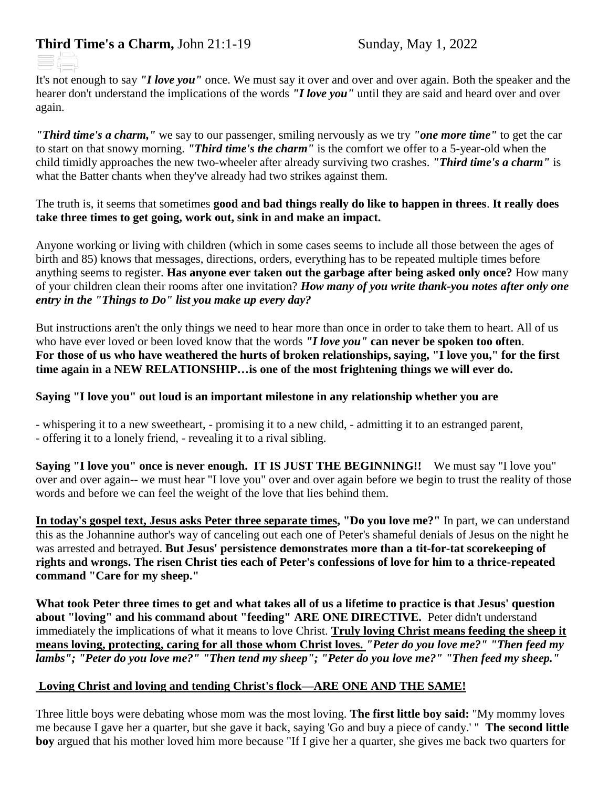## **Third Time's a Charm, John 21:1-19** Sunday, May 1, 2022

It's not enough to say *"I love you"* once. We must say it over and over and over again. Both the speaker and the hearer don't understand the implications of the words *"I love you"* until they are said and heard over and over again.

*"Third time's a charm,"* we say to our passenger, smiling nervously as we try *"one more time"* to get the car to start on that snowy morning. *"Third time's the charm"* is the comfort we offer to a 5-year-old when the child timidly approaches the new two-wheeler after already surviving two crashes. *"Third time's a charm"* is what the Batter chants when they've already had two strikes against them.

The truth is, it seems that sometimes **good and bad things really do like to happen in threes**. **It really does take three times to get going, work out, sink in and make an impact.**

Anyone working or living with children (which in some cases seems to include all those between the ages of birth and 85) knows that messages, directions, orders, everything has to be repeated multiple times before anything seems to register. **Has anyone ever taken out the garbage after being asked only once?** How many of your children clean their rooms after one invitation? *How many of you write thank-you notes after only one entry in the "Things to Do" list you make up every day?*

But instructions aren't the only things we need to hear more than once in order to take them to heart. All of us who have ever loved or been loved know that the words *"I love you"* **can never be spoken too often**. **For those of us who have weathered the hurts of broken relationships, saying, "I love you," for the first time again in a NEW RELATIONSHIP…is one of the most frightening things we will ever do.**

## **Saying "I love you" out loud is an important milestone in any relationship whether you are**

- whispering it to a new sweetheart, - promising it to a new child, - admitting it to an estranged parent, - offering it to a lonely friend, - revealing it to a rival sibling.

**Saying "I love you" once is never enough. IT IS JUST THE BEGINNING!!** We must say "I love you" over and over again-- we must hear "I love you" over and over again before we begin to trust the reality of those words and before we can feel the weight of the love that lies behind them.

**In today's gospel text, Jesus asks Peter three separate times, "Do you love me?"** In part, we can understand this as the Johannine author's way of canceling out each one of Peter's shameful denials of Jesus on the night he was arrested and betrayed. **But Jesus' persistence demonstrates more than a tit-for-tat scorekeeping of rights and wrongs. The risen Christ ties each of Peter's confessions of love for him to a thrice-repeated command "Care for my sheep."**

**What took Peter three times to get and what takes all of us a lifetime to practice is that Jesus' question about "loving" and his command about "feeding" ARE ONE DIRECTIVE.** Peter didn't understand immediately the implications of what it means to love Christ. **Truly loving Christ means feeding the sheep it means loving, protecting, caring for all those whom Christ loves.** *"Peter do you love me?" "Then feed my lambs"; "Peter do you love me?" "Then tend my sheep"; "Peter do you love me?" "Then feed my sheep."*

## **Loving Christ and loving and tending Christ's flock—ARE ONE AND THE SAME!**

Three little boys were debating whose mom was the most loving. **The first little boy said:** "My mommy loves me because I gave her a quarter, but she gave it back, saying 'Go and buy a piece of candy.' " **The second little boy** argued that his mother loved him more because "If I give her a quarter, she gives me back two quarters for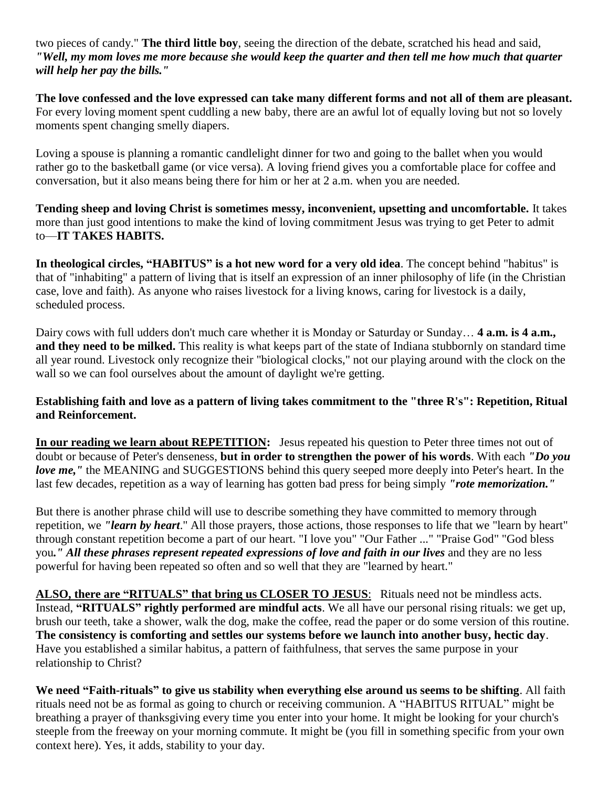two pieces of candy." **The third little boy**, seeing the direction of the debate, scratched his head and said, *"Well, my mom loves me more because she would keep the quarter and then tell me how much that quarter will help her pay the bills."* 

**The love confessed and the love expressed can take many different forms and not all of them are pleasant.** For every loving moment spent cuddling a new baby, there are an awful lot of equally loving but not so lovely moments spent changing smelly diapers.

Loving a spouse is planning a romantic candlelight dinner for two and going to the ballet when you would rather go to the basketball game (or vice versa). A loving friend gives you a comfortable place for coffee and conversation, but it also means being there for him or her at 2 a.m. when you are needed.

**Tending sheep and loving Christ is sometimes messy, inconvenient, upsetting and uncomfortable.** It takes more than just good intentions to make the kind of loving commitment Jesus was trying to get Peter to admit to—**IT TAKES HABITS.** 

**In theological circles, "HABITUS" is a hot new word for a very old idea**. The concept behind "habitus" is that of "inhabiting" a pattern of living that is itself an expression of an inner philosophy of life (in the Christian case, love and faith). As anyone who raises livestock for a living knows, caring for livestock is a daily, scheduled process.

Dairy cows with full udders don't much care whether it is Monday or Saturday or Sunday… **4 a.m. is 4 a.m., and they need to be milked.** This reality is what keeps part of the state of Indiana stubbornly on standard time all year round. Livestock only recognize their "biological clocks," not our playing around with the clock on the wall so we can fool ourselves about the amount of daylight we're getting.

## **Establishing faith and love as a pattern of living takes commitment to the "three R's": Repetition, Ritual and Reinforcement.**

**In our reading we learn about REPETITION:** Jesus repeated his question to Peter three times not out of doubt or because of Peter's denseness, **but in order to strengthen the power of his words**. With each *"Do you love me,*" the MEANING and SUGGESTIONS behind this query seeped more deeply into Peter's heart. In the last few decades, repetition as a way of learning has gotten bad press for being simply *"rote memorization."*

But there is another phrase child will use to describe something they have committed to memory through repetition, we *"learn by heart*." All those prayers, those actions, those responses to life that we "learn by heart" through constant repetition become a part of our heart. "I love you" "Our Father ..." "Praise God" "God bless you*." All these phrases represent repeated expressions of love and faith in our lives* and they are no less powerful for having been repeated so often and so well that they are "learned by heart."

**ALSO, there are "RITUALS" that bring us CLOSER TO JESUS**: Rituals need not be mindless acts. Instead, **"RITUALS" rightly performed are mindful acts**. We all have our personal rising rituals: we get up, brush our teeth, take a shower, walk the dog, make the coffee, read the paper or do some version of this routine. **The consistency is comforting and settles our systems before we launch into another busy, hectic day**. Have you established a similar habitus, a pattern of faithfulness, that serves the same purpose in your relationship to Christ?

**We need "Faith-rituals" to give us stability when everything else around us seems to be shifting**. All faith rituals need not be as formal as going to church or receiving communion. A "HABITUS RITUAL" might be breathing a prayer of thanksgiving every time you enter into your home. It might be looking for your church's steeple from the freeway on your morning commute. It might be (you fill in something specific from your own context here). Yes, it adds, stability to your day.